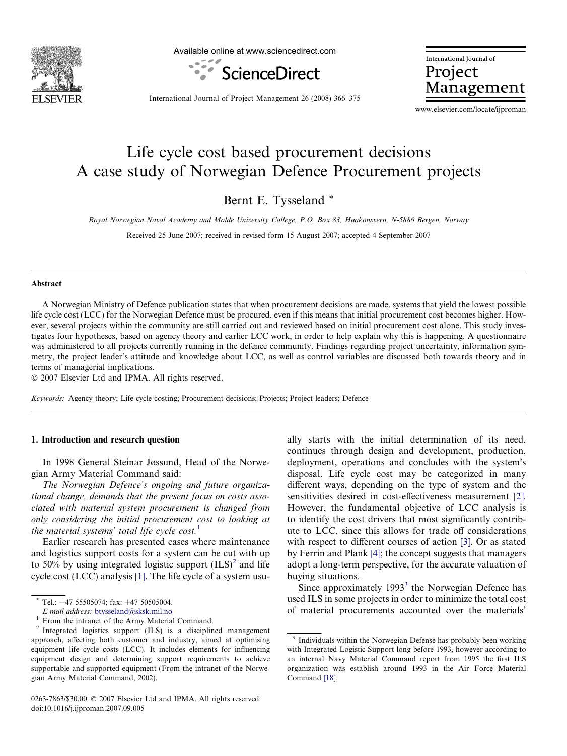

Available online at www.sciencedirect.com



International Journal of Project Management

International Journal of Project Management 26 (2008) 366–375

www.elsevier.com/locate/ijproman

# Life cycle cost based procurement decisions A case study of Norwegian Defence Procurement projects

Bernt E. Tysseland \*

Royal Norwegian Naval Academy and Molde University College, P.O. Box 83, Haakonsvern, N-5886 Bergen, Norway

Received 25 June 2007; received in revised form 15 August 2007; accepted 4 September 2007

#### Abstract

A Norwegian Ministry of Defence publication states that when procurement decisions are made, systems that yield the lowest possible life cycle cost (LCC) for the Norwegian Defence must be procured, even if this means that initial procurement cost becomes higher. However, several projects within the community are still carried out and reviewed based on initial procurement cost alone. This study investigates four hypotheses, based on agency theory and earlier LCC work, in order to help explain why this is happening. A questionnaire was administered to all projects currently running in the defence community. Findings regarding project uncertainty, information symmetry, the project leader's attitude and knowledge about LCC, as well as control variables are discussed both towards theory and in terms of managerial implications.

 $© 2007 Elsevier Ltd and IPMA. All rights reserved.$ 

Keywords: Agency theory; Life cycle costing; Procurement decisions; Projects; Project leaders; Defence

## 1. Introduction and research question

In 1998 General Steinar Jøssund, Head of the Norwegian Army Material Command said:

The Norwegian Defence's ongoing and future organizational change, demands that the present focus on costs associated with material system procurement is changed from only considering the initial procurement cost to looking at the material systems' total life cycle  $cost<sup>1</sup>$ .

Earlier research has presented cases where maintenance and logistics support costs for a system can be cut with up to 50% by using integrated logistic support  $(ILS)<sup>2</sup>$  and life cycle cost (LCC) analysis [\[1\]](#page--1-0). The life cycle of a system usu-

0263-7863/\$30.00 © 2007 Elsevier Ltd and IPMA. All rights reserved. doi:10.1016/j.ijproman.2007.09.005

ally starts with the initial determination of its need, continues through design and development, production, deployment, operations and concludes with the system's disposal. Life cycle cost may be categorized in many different ways, depending on the type of system and the sensitivities desired in cost-effectiveness measurement [\[2\]](#page--1-0). However, the fundamental objective of LCC analysis is to identify the cost drivers that most significantly contribute to LCC, since this allows for trade off considerations with respect to different courses of action [\[3\]](#page--1-0). Or as stated by Ferrin and Plank [\[4\];](#page--1-0) the concept suggests that managers adopt a long-term perspective, for the accurate valuation of buying situations.

Since approximately  $1993<sup>3</sup>$  the Norwegian Defence has used ILS in some projects in order to minimize the total cost of material procurements accounted over the materials'

Tel.: +47 55505074; fax: +47 50505004.

E-mail address: [btysseland@sksk.mil.no](mailto:btysseland@sksk.mil.no)<br><sup>1</sup> From the intranet of the Army Material Command.<br><sup>2</sup> Integrated logistics support (ILS) is a disciplined management approach, affecting both customer and industry, aimed at optimising equipment life cycle costs (LCC). It includes elements for influencing equipment design and determining support requirements to achieve supportable and supported equipment (From the intranet of the Norwegian Army Material Command, 2002).

 $\frac{3}{3}$  Individuals within the Norwegian Defense has probably been working with Integrated Logistic Support long before 1993, however according to an internal Navy Material Command report from 1995 the first ILS organization was establish around 1993 in the Air Force Material Command [\[18\].](#page--1-0)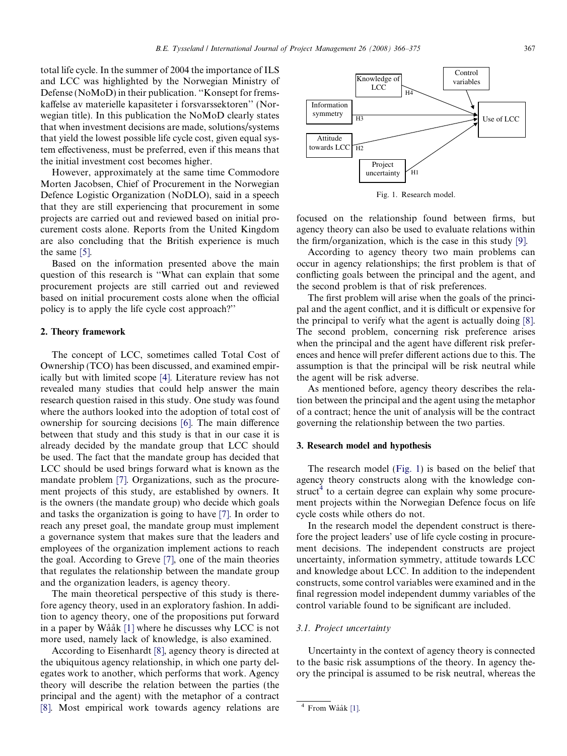total life cycle. In the summer of 2004 the importance of ILS and LCC was highlighted by the Norwegian Ministry of Defense (NoMoD) in their publication. ''Konsept for fremskaffelse av materielle kapasiteter i forsvarssektoren'' (Norwegian title). In this publication the NoMoD clearly states that when investment decisions are made, solutions/systems that yield the lowest possible life cycle cost, given equal system effectiveness, must be preferred, even if this means that the initial investment cost becomes higher.

However, approximately at the same time Commodore Morten Jacobsen, Chief of Procurement in the Norwegian Defence Logistic Organization (NoDLO), said in a speech that they are still experiencing that procurement in some projects are carried out and reviewed based on initial procurement costs alone. Reports from the United Kingdom are also concluding that the British experience is much the same [\[5\]](#page--1-0).

Based on the information presented above the main question of this research is ''What can explain that some procurement projects are still carried out and reviewed based on initial procurement costs alone when the official policy is to apply the life cycle cost approach?''

### 2. Theory framework

The concept of LCC, sometimes called Total Cost of Ownership (TCO) has been discussed, and examined empirically but with limited scope [\[4\]](#page--1-0). Literature review has not revealed many studies that could help answer the main research question raised in this study. One study was found where the authors looked into the adoption of total cost of ownership for sourcing decisions [\[6\]](#page--1-0). The main difference between that study and this study is that in our case it is already decided by the mandate group that LCC should be used. The fact that the mandate group has decided that LCC should be used brings forward what is known as the mandate problem [\[7\].](#page--1-0) Organizations, such as the procurement projects of this study, are established by owners. It is the owners (the mandate group) who decide which goals and tasks the organization is going to have [\[7\].](#page--1-0) In order to reach any preset goal, the mandate group must implement a governance system that makes sure that the leaders and employees of the organization implement actions to reach the goal. According to Greve [\[7\]](#page--1-0), one of the main theories that regulates the relationship between the mandate group and the organization leaders, is agency theory.

The main theoretical perspective of this study is therefore agency theory, used in an exploratory fashion. In addition to agency theory, one of the propositions put forward in a paper by Wååk  $[1]$  where he discusses why LCC is not more used, namely lack of knowledge, is also examined.

According to Eisenhardt [\[8\]](#page--1-0), agency theory is directed at the ubiquitous agency relationship, in which one party delegates work to another, which performs that work. Agency theory will describe the relation between the parties (the principal and the agent) with the metaphor of a contract [\[8\].](#page--1-0) Most empirical work towards agency relations are



Fig. 1. Research model.

focused on the relationship found between firms, but agency theory can also be used to evaluate relations within the firm/organization, which is the case in this study [\[9\]](#page--1-0).

According to agency theory two main problems can occur in agency relationships; the first problem is that of conflicting goals between the principal and the agent, and the second problem is that of risk preferences.

The first problem will arise when the goals of the principal and the agent conflict, and it is difficult or expensive for the principal to verify what the agent is actually doing [\[8\].](#page--1-0) The second problem, concerning risk preference arises when the principal and the agent have different risk preferences and hence will prefer different actions due to this. The assumption is that the principal will be risk neutral while the agent will be risk adverse.

As mentioned before, agency theory describes the relation between the principal and the agent using the metaphor of a contract; hence the unit of analysis will be the contract governing the relationship between the two parties.

## 3. Research model and hypothesis

The research model (Fig. 1) is based on the belief that agency theory constructs along with the knowledge construct<sup>4</sup> to a certain degree can explain why some procurement projects within the Norwegian Defence focus on life cycle costs while others do not.

In the research model the dependent construct is therefore the project leaders' use of life cycle costing in procurement decisions. The independent constructs are project uncertainty, information symmetry, attitude towards LCC and knowledge about LCC. In addition to the independent constructs, some control variables were examined and in the final regression model independent dummy variables of the control variable found to be significant are included.

### 3.1. Project uncertainty

Uncertainty in the context of agency theory is connected to the basic risk assumptions of the theory. In agency theory the principal is assumed to be risk neutral, whereas the

 $4$  From Wååk [\[1\]](#page--1-0).